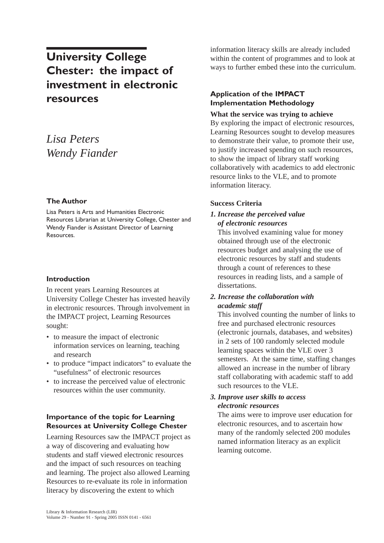# **University College Chester: the impact of investment in electronic resources**

## *Lisa Peters Wendy Fiander*

#### **The Author**

Lisa Peters is Arts and Humanities Electronic Resources Librarian at University College, Chester and Wendy Fiander is Assistant Director of Learning Resources.

#### **Introduction**

In recent years Learning Resources at University College Chester has invested heavily in electronic resources. Through involvement in the IMPACT project, Learning Resources sought:

- to measure the impact of electronic information services on learning, teaching and research
- to produce "impact indicators" to evaluate the "usefulness" of electronic resources
- to increase the perceived value of electronic resources within the user community.

#### **Importance of the topic for Learning Resources at University College Chester**

Learning Resources saw the IMPACT project as a way of discovering and evaluating how students and staff viewed electronic resources and the impact of such resources on teaching and learning. The project also allowed Learning Resources to re-evaluate its role in information literacy by discovering the extent to which

information literacy skills are already included within the content of programmes and to look at ways to further embed these into the curriculum.

#### **Application of the IMPACT Implementation Methodology**

#### **What the service was trying to achieve**

By exploring the impact of electronic resources, Learning Resources sought to develop measures to demonstrate their value, to promote their use, to justify increased spending on such resources, to show the impact of library staff working collaboratively with academics to add electronic resource links to the VLE, and to promote information literacy.

#### **Success Criteria**

#### *1. Increase the perceived value of electronic resources*

This involved examining value for money obtained through use of the electronic resources budget and analysing the use of electronic resources by staff and students through a count of references to these resources in reading lists, and a sample of dissertations.

#### *2. Increase the collaboration with academic staff*

This involved counting the number of links to free and purchased electronic resources (electronic journals, databases, and websites) in 2 sets of 100 randomly selected module learning spaces within the VLE over 3 semesters. At the same time, staffing changes allowed an increase in the number of library staff collaborating with academic staff to add such resources to the VLE.

#### *3. Improve user skills to access electronic resources*

The aims were to improve user education for electronic resources, and to ascertain how many of the randomly selected 200 modules named information literacy as an explicit learning outcome.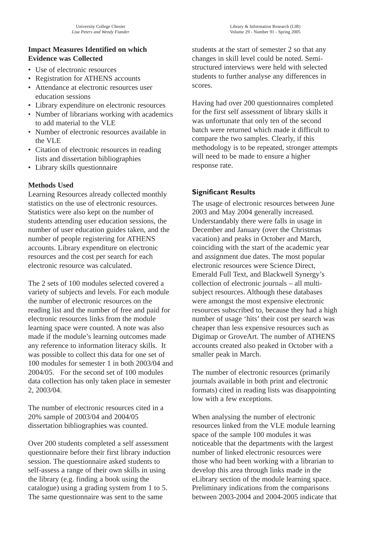#### **Impact Measures Identified on which Evidence was Collected**

- Use of electronic resources
- Registration for ATHENS accounts
- Attendance at electronic resources user education sessions
- Library expenditure on electronic resources
- Number of librarians working with academics to add material to the VLE
- Number of electronic resources available in the VLE
- Citation of electronic resources in reading lists and dissertation bibliographies
- Library skills questionnaire

## **Methods Used**

Learning Resources already collected monthly statistics on the use of electronic resources. Statistics were also kept on the number of students attending user education sessions, the number of user education guides taken, and the number of people registering for ATHENS accounts. Library expenditure on electronic resources and the cost per search for each electronic resource was calculated.

The 2 sets of 100 modules selected covered a variety of subjects and levels. For each module the number of electronic resources on the reading list and the number of free and paid for electronic resources links from the module learning space were counted. A note was also made if the module's learning outcomes made any reference to information literacy skills. It was possible to collect this data for one set of 100 modules for semester 1 in both 2003/04 and 2004/05. For the second set of 100 modules data collection has only taken place in semester 2, 2003/04.

The number of electronic resources cited in a 20% sample of 2003/04 and 2004/05 dissertation bibliographies was counted.

Over 200 students completed a self assessment questionnaire before their first library induction session. The questionnaire asked students to self-assess a range of their own skills in using the library (e.g. finding a book using the catalogue) using a grading system from 1 to 5. The same questionnaire was sent to the same

students at the start of semester 2 so that any changes in skill level could be noted. Semistructured interviews were held with selected students to further analyse any differences in scores.

Having had over 200 questionnaires completed for the first self assessment of library skills it was unfortunate that only ten of the second batch were returned which made it difficult to compare the two samples. Clearly, if this methodology is to be repeated, stronger attempts will need to be made to ensure a higher response rate.

## **Significant Results**

The usage of electronic resources between June 2003 and May 2004 generally increased. Understandably there were falls in usage in December and January (over the Christmas vacation) and peaks in October and March, coinciding with the start of the academic year and assignment due dates. The most popular electronic resources were Science Direct, Emerald Full Text, and Blackwell Synergy's collection of electronic journals – all multisubject resources. Although these databases were amongst the most expensive electronic resources subscribed to, because they had a high number of usage 'hits' their cost per search was cheaper than less expensive resources such as Digimap or GroveArt. The number of ATHENS accounts created also peaked in October with a smaller peak in March.

The number of electronic resources (primarily journals available in both print and electronic formats) cited in reading lists was disappointing low with a few exceptions.

When analysing the number of electronic resources linked from the VLE module learning space of the sample 100 modules it was noticeable that the departments with the largest number of linked electronic resources were those who had been working with a librarian to develop this area through links made in the eLibrary section of the module learning space. Preliminary indications from the comparisons between 2003-2004 and 2004-2005 indicate that